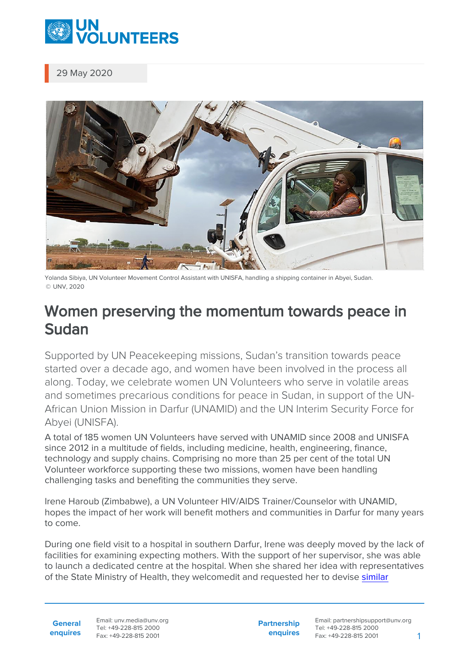

29 May 2020



Yolanda Sibiya, UN Volunteer Movement Control Assistant with UNISFA, handling a shipping container in Abyei, Sudan. © UNV, 2020

## Women preserving the momentum towards peace in Sudan

Supported by UN Peacekeeping missions, Sudan's transition towards peace started over a decade ago, and women have been involved in the process all along. Today, we celebrate women UN Volunteers who serve in volatile areas and sometimes precarious conditions for peace in Sudan, in support of the UN-African Union Mission in Darfur (UNAMID) and the UN Interim Security Force for Abyei (UNISFA).

A total of 185 women UN Volunteers have served with UNAMID since 2008 and UNISFA since 2012 in a multitude of fields, including medicine, health, engineering, finance, technology and supply chains. Comprising no more than 25 per cent of the total UN Volunteer workforce supporting these two missions, women have been handling challenging tasks and benefiting the communities they serve.

Irene Haroub (Zimbabwe), a UN Volunteer HIV/AIDS Trainer/Counselor with UNAMID, hopes the impact of her work will benefit mothers and communities in Darfur for many years to come.

During one field visit to a hospital in southern Darfur, Irene was deeply moved by the lack of facilities for examining expecting mothers. With the support of her supervisor, she was able to launch a dedicated centre at the hospital. When she shared her idea with representatives of the State Ministry of Health, they welcomedit and requested her to devise [similar](https://www.unv.org/Our-stories/Volunteering-meet-challenge-development)

**General enquires** Email: unv.media@unv.org Tel: +49-228-815 2000 Fax: +49-228-815 2001

**Partnership enquires** Email: partnershipsupport@unv.org Tel: +49-228-815 2000 Fax: +49-228-815 2001 1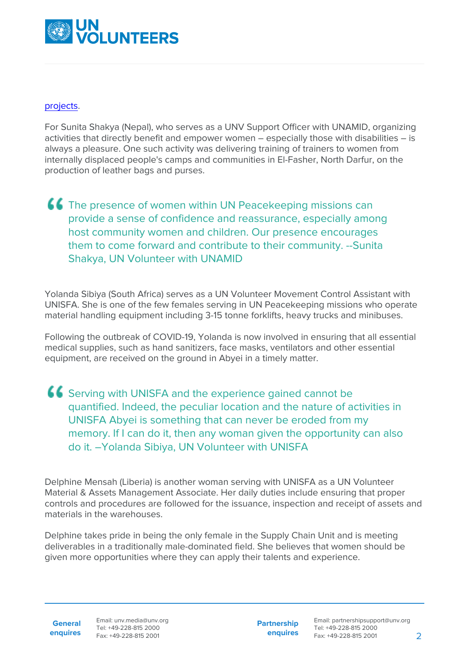

## [projects](https://www.unv.org/Our-stories/Volunteering-meet-challenge-development).

For Sunita Shakya (Nepal), who serves as a UNV Support Officer with UNAMID, organizing activities that directly benefit and empower women – especially those with disabilities – is always a pleasure. One such activity was delivering training of trainers to women from internally displaced people's camps and communities in El-Fasher, North Darfur, on the production of leather bags and purses.

## **CC** The presence of women within UN Peacekeeping missions can provide a sense of confidence and reassurance, especially among host community women and children. Our presence encourages them to come forward and contribute to their community. --Sunita Shakya, UN Volunteer with UNAMID

Yolanda Sibiya (South Africa) serves as a UN Volunteer Movement Control Assistant with UNISFA. She is one of the few females serving in UN Peacekeeping missions who operate material handling equipment including 3-15 tonne forklifts, heavy trucks and minibuses.

Following the outbreak of COVID-19, Yolanda is now involved in ensuring that all essential medical supplies, such as hand sanitizers, face masks, ventilators and other essential equipment, are received on the ground in Abyei in a timely matter.

Serving with UNISFA and the experience gained cannot be quantified. Indeed, the peculiar location and the nature of activities in UNISFA Abyei is something that can never be eroded from my memory. If I can do it, then any woman given the opportunity can also do it. –Yolanda Sibiya, UN Volunteer with UNISFA

Delphine Mensah (Liberia) is another woman serving with UNISFA as a UN Volunteer Material & Assets Management Associate. Her daily duties include ensuring that proper controls and procedures are followed for the issuance, inspection and receipt of assets and materials in the warehouses.

Delphine takes pride in being the only female in the Supply Chain Unit and is meeting deliverables in a traditionally male-dominated field. She believes that women should be given more opportunities where they can apply their talents and experience.

**General enquires**

Email: unv.media@unv.org Tel: +49-228-815 2000 Fax: +49-228-815 2001

**Partnership enquires**

Email: partnershipsupport@unv.org Tel: +49-228-815 2000 Fax: +49-228-815 2001 2